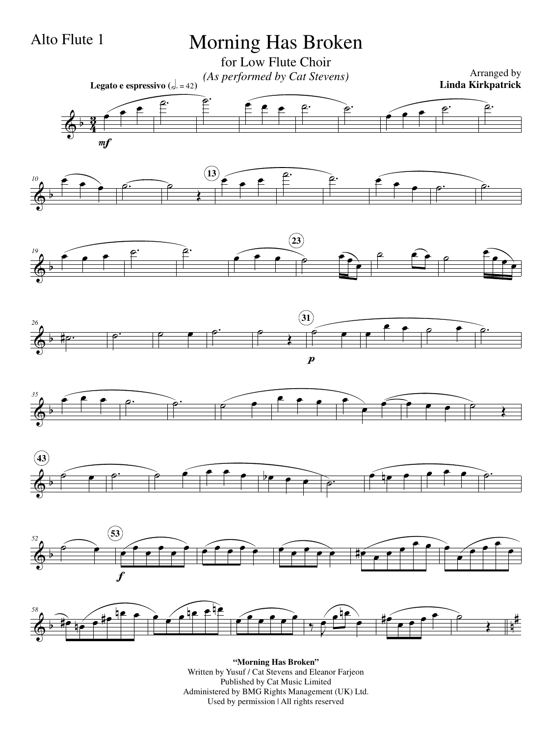## $\frac{2}{9}$   $\frac{3}{4}$ <u>3្</u> œ œ œ  $m f$ **Legato e espressivo**  $(d = 42)$  $\overbrace{a}$ .  $\begin{array}{ccc} \bullet & \bullet & \bullet & \bullet \\ \hline \end{array}$  $\epsilon$  $\overline{e}$ .  $\overline{e}$ .  $\overline{\Phi^{\flat}}$  $^{10}$  e œ  $\bullet$   $\rho$ . Œ œ œ œ  $\overrightarrow{13}$   $\overrightarrow{e}$   $\overrightarrow{e}$   $\overrightarrow{e}$ œ  $\bullet$   $\rho$ .  $\overline{\Phi^{\flat}}$ *19*  $\widetilde{\cdot}$   $\cdot$  $\overline{\mathbf{e}}$ .  $\overline{\mathbf{e}}$ .  $\overrightarrow{e}$ œ œ œ **23**  $e \rightarrow e$ œ œ œ œ  $\overline{\Phi^{\flat}}$ *26* <u>#p. p. p. e b.</u> Œ  $\begin{array}{c} \circ \\ \hline \end{array}$  $\boldsymbol{p}$ **31** œ  $e$   $e$   $e$   $e$   $e$  $\overline{\Phi^{\flat}}$ *35*  $e$   $e$   $e$   $e$   $e$   $e$  $\overline{\mathbf{e} \cdot \mathbf{e} \cdot \mathbf{e}}$ œ  $\widehat{\bullet}$   $\bullet$   $\bullet$   $\stackrel{\frown}{\bullet}$ Œ  $\overline{\Phi^{\flat}}$  $\begin{array}{c} \circ \\ \hline \end{array}$ **43**  $\overrightarrow{e}$  $\bullet$   $\bullet$   $\bullet$   $\bullet$   $\circ$  $e$  is  $e$   $e$   $e$   $e$   $e$   $e$  $\overline{\Phi^{\flat}}$ *52*  $\widehat{\bullet}$ œ œ œ œ œ œ f **53** œ œ œ œ  $\bullet$ œ œ  $\frac{1}{\sqrt{1-\frac{1}{\sqrt{1-\frac{1}{\sqrt{1-\frac{1}{\sqrt{1-\frac{1}{\sqrt{1-\frac{1}{\sqrt{1-\frac{1}{\sqrt{1-\frac{1}{\sqrt{1-\frac{1}{\sqrt{1-\frac{1}{\sqrt{1-\frac{1}{\sqrt{1-\frac{1}{\sqrt{1-\frac{1}{\sqrt{1-\frac{1}{\sqrt{1-\frac{1}{\sqrt{1-\frac{1}{\sqrt{1-\frac{1}{\sqrt{1-\frac{1}{\sqrt{1-\frac{1}{\sqrt{1-\frac{1}{\sqrt{1-\frac{1}{\sqrt{1-\frac{1}{\sqrt{1-\frac{1}{\sqrt{1-\frac{1}{\sqrt{1-\frac{1$ œ œ  $\bullet$ œ œ œ œ œ  $\left\langle \phi \right\rangle$  b has been assumed by the contract of the contract of  $\left\langle \phi \right\rangle$  between  $\left\langle \phi \right\rangle$  between  $\left\langle \phi \right\rangle$ # *58* **P** œn œ œ#  $\overline{P}$ œ œ  $P$ œ œ œ œ œ œ ‰ J œ œ i<br>¶ œ œ#  $\overline{\mathbf{e}^{\bullet}}$ œ  $\begin{array}{c}\n\bullet \\
\hline\n\end{array}$ Œ Morning Has Broken for Low Flute Choir *(As performed by Cat Stevens)* Arranged by Arranged by Cat Stevens) **Linda Kirkpatrick** Alto Flute 1

**"Morning Has Broken"** Written by Yusuf / Cat Stevens and Eleanor Farjeon Published by Cat Music Limited Administered by BMG Rights Management (UK) Ltd. Used by permission | All rights reserved